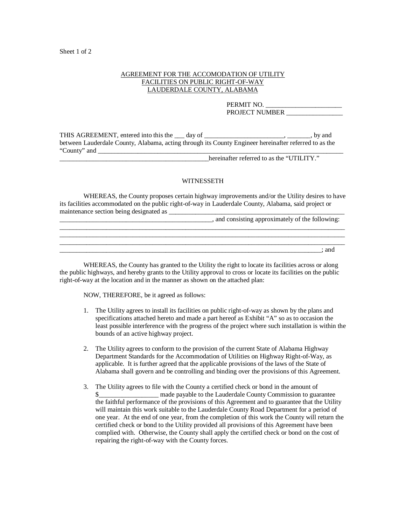## Sheet 1 of 2

## AGREEMENT FOR THE ACCOMODATION OF UTILITY FACILITIES ON PUBLIC RIGHT-OF-WAY LAUDERDALE COUNTY, ALABAMA

PERMIT NO. PROJECT NUMBER

THIS AGREEMENT, entered into this the 100 day of 100 million 200 million 200 million by and between Lauderdale County, Alabama, acting through its County Engineer hereinafter referred to as the "County" and \_\_\_\_\_\_\_\_\_\_\_\_\_\_\_\_\_\_\_\_\_\_\_\_\_\_\_\_\_\_\_\_\_\_\_\_\_\_\_\_\_\_\_\_\_\_\_\_\_\_\_\_\_\_\_\_\_\_\_\_\_\_\_\_\_\_\_\_\_\_\_\_\_\_

\_\_\_\_\_\_\_\_\_\_\_\_\_\_\_\_\_\_\_\_\_\_\_\_\_\_\_\_\_\_\_\_\_\_\_\_\_\_\_\_\_\_\_\_\_hereinafter referred to as the "UTILITY."

## WITNESSETH

 WHEREAS, the County proposes certain highway improvements and/or the Utility desires to have its facilities accommodated on the public right-of-way in Lauderdale County, Alabama, said project or maintenance section being designated as

| , and consisting approximately of the following: |
|--------------------------------------------------|
|                                                  |
|                                                  |
| : and                                            |

 WHEREAS, the County has granted to the Utility the right to locate its facilities across or along the public highways, and hereby grants to the Utility approval to cross or locate its facilities on the public right-of-way at the location and in the manner as shown on the attached plan:

NOW, THEREFORE, be it agreed as follows:

- 1. The Utility agrees to install its facilities on public right-of-way as shown by the plans and specifications attached hereto and made a part hereof as Exhibit "A" so as to occasion the least possible interference with the progress of the project where such installation is within the bounds of an active highway project.
- 2. The Utility agrees to conform to the provision of the current State of Alabama Highway Department Standards for the Accommodation of Utilities on Highway Right-of-Way, as applicable. It is further agreed that the applicable provisions of the laws of the State of Alabama shall govern and be controlling and binding over the provisions of this Agreement.
- 3. The Utility agrees to file with the County a certified check or bond in the amount of \$ made payable to the Lauderdale County Commission to guarantee the faithful performance of the provisions of this Agreement and to guarantee that the Utility will maintain this work suitable to the Lauderdale County Road Department for a period of one year. At the end of one year, from the completion of this work the County will return the certified check or bond to the Utility provided all provisions of this Agreement have been complied with. Otherwise, the County shall apply the certified check or bond on the cost of repairing the right-of-way with the County forces.